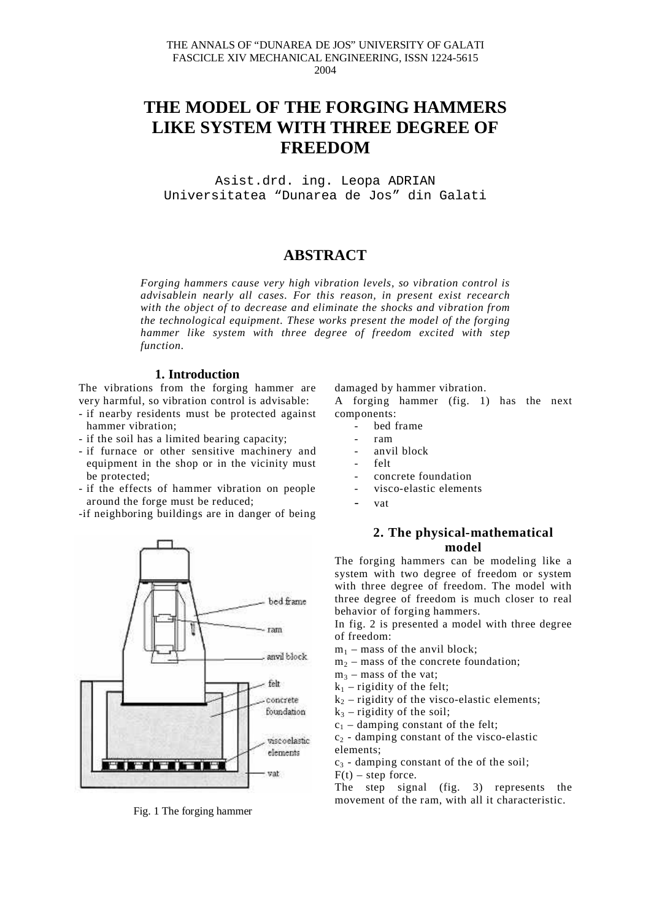# **THE MODEL OF THE FORGING HAMMERS LIKE SYSTEM WITH THREE DEGREE OF FREEDOM**

Asist.drd. ing. Leopa ADRIAN Universitatea "Dunarea de Jos" din Galati

# **ABSTRACT**

*Forging hammers cause very high vibration levels, so vibration control is advisablein nearly all cases. For this reason, in present exist recearch with the object of to decrease and eliminate the shocks and vibration from the technological equipment. These works present the model of the forging hammer like system with three degree of freedom excited with step function.*

#### **1. Introduction**

The vibrations from the forging hammer are very harmful, so vibration control is advisable:

- if nearby residents must be protected against hammer vibration;
- if the soil has a limited bearing capacity;
- if furnace or other sensitive machinery and equipment in the shop or in the vicinity must be protected;
- if the effects of hammer vibration on people around the forge must be reduced;
- -if neighboring buildings are in danger of being



Fig. 1 The forging hammer

damaged by hammer vibration.

A forging hammer (fig. 1) has the next components:

- bed frame
- ram
- anvil block
- felt
- concrete foundation
- visco-elastic elements
- vat

## **2. The physical-mathematical model**

The forging hammers can be modeling like a system with two degree of freedom or system with three degree of freedom. The model with three degree of freedom is much closer to real behavior of forging hammers.

In fig. 2 is presented a model with three degree of freedom:

- $m_1$  mass of the anvil block;
- $m<sub>2</sub>$  mass of the concrete foundation;
- $m_3$  mass of the vat;
- $k_1$  rigidity of the felt;
- $k_2$  rigidity of the visco-elastic elements;
- $k_3$  rigidity of the soil;
- $c_1$  damping constant of the felt;

 $c_2$  - damping constant of the visco-elastic elements;

 $c_3$  - damping constant of the of the soil;

 $F(t)$  – step force.

The step signal (fig. 3) represents the movement of the ram, with all it characteristic.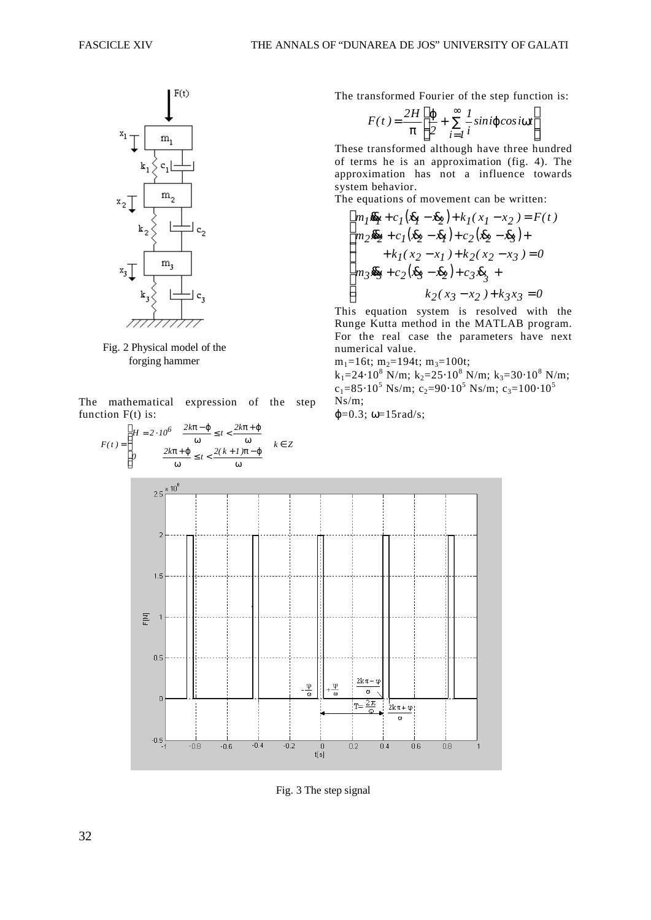

Fig. 2 Physical model of the forging hammer

*F(t )*

The mathematical expression of the step function F(t) is:



Fig. 3 The step signal

The transformed Fourier of the step function is:

$$
F(t) = \frac{2H}{\pi} \left[ \frac{\varphi}{2} + \sum_{i=1}^{\infty} \frac{1}{i} \sin i \varphi \cos i\omega t \right]
$$

 $\overline{\phantom{a}}$  $\overline{\phantom{a}}$  $\frac{1}{2}$ 

 $\overline{\phantom{a}}$ 

These transformed although have three hundred of terms he is an approximation (fig. 4). The approximation has not a influence towards system behavior.

The equations of movement can be written:

$$
\begin{cases} m_I \overline{x}_I + c_I(\overline{x}_I - \overline{x}_2) + k_I(x_I - x_2) = F(t) \\ m_2 \overline{x}_2 + c_I(\overline{x}_2 - \overline{x}_I) + c_2(\overline{x}_2 - \overline{x}_3) + \\qquad \qquad + k_I(x_2 - x_I) + k_2(x_2 - x_3) = 0 \\ m_3 \overline{x}_3 + c_2(\overline{x}_3 - \overline{x}_2) + c_3 \overline{x}_3 + \\qquad \qquad k_2(x_3 - x_2) + k_3 x_3 = 0 \end{cases}
$$

This equation system is resolved with the Runge Kutta method in the MATLAB program. For the real case the parameters have next numerical value.

 $m_1=16t$ ;  $m_2=194t$ ;  $m_3=100t$ ;

 $k_1$ =24⋅10<sup>8</sup> N/m;  $k_2$ =25⋅10<sup>8</sup> N/m;  $k_3$ =30⋅10<sup>8</sup> N/m;  $c_1 = 85.10^5$  Ns/m;  $c_2 = 90.10^5$  Ns/m;  $c_3 = 100.10^5$ Ns/m;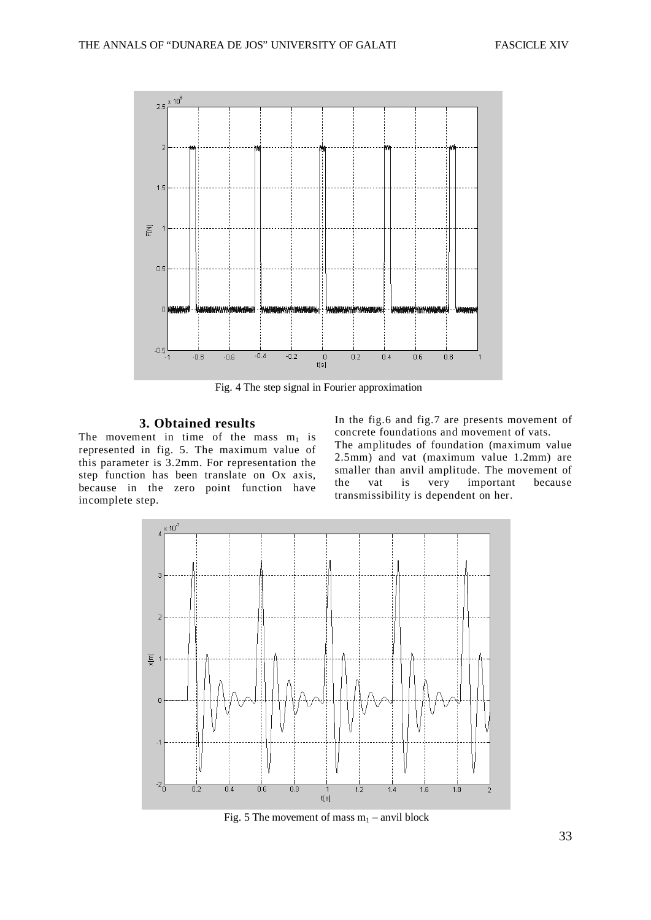

Fig. 4 The step signal in Fourier approximation

#### **3. Obtained results**

The movement in time of the mass  $m_1$  is represented in fig. 5. The maximum value of this parameter is 3.2mm. For representation the step function has been translate on Ox axis, because in the zero point function have incomplete step.

In the fig.6 and fig.7 are presents movement of concrete foundations and movement of vats. The amplitudes of foundation (maximum value 2.5mm) and vat (maximum value 1.2mm) are smaller than anvil amplitude. The movement of the vat is very important because transmissibility is dependent on her.



Fig. 5 The movement of mass  $m_1$  – anvil block